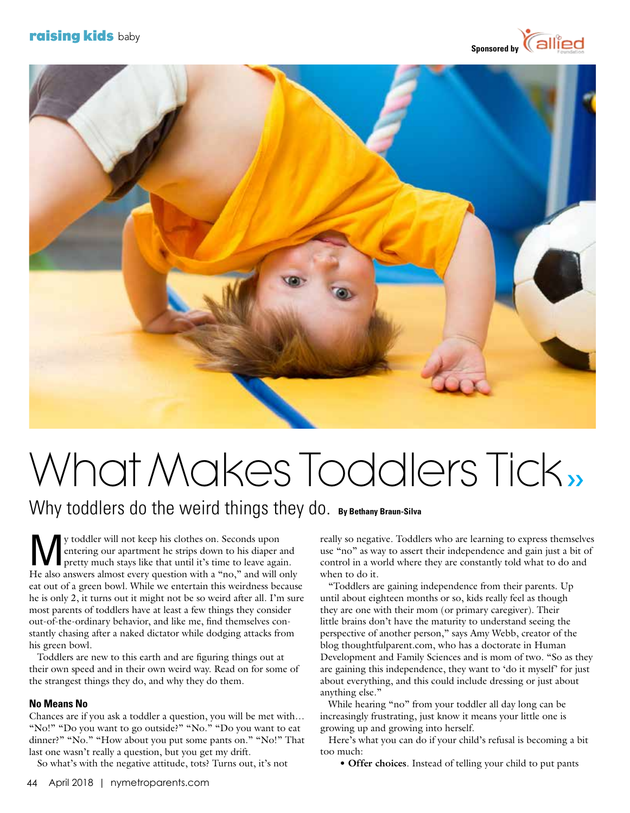# **raising kids** baby





# What Makes Toddlers Tick,

Why toddlers do the weird things they do. By Bethany Braun-Silva

V toddler will not keep his clothes on. Seconds upon<br>entering our apartment he strips down to his diaper a<br>pretty much stays like that until it's time to leave again entering our apartment he strips down to his diaper and pretty much stays like that until it's time to leave again. He also answers almost every question with a "no," and will only eat out of a green bowl. While we entertain this weirdness because he is only 2, it turns out it might not be so weird after all. I'm sure most parents of toddlers have at least a few things they consider out-of-the-ordinary behavior, and like me, find themselves constantly chasing after a naked dictator while dodging attacks from his green bowl.

 Toddlers are new to this earth and are figuring things out at their own speed and in their own weird way. Read on for some of the strangest things they do, and why they do them.

## **No Means No**

Chances are if you ask a toddler a question, you will be met with… "No!" "Do you want to go outside?" "No." "Do you want to eat dinner?" "No." "How about you put some pants on." "No!" That last one wasn't really a question, but you get my drift.

So what's with the negative attitude, tots? Turns out, it's not

really so negative. Toddlers who are learning to express themselves use "no" as way to assert their independence and gain just a bit of control in a world where they are constantly told what to do and when to do it.

 "Toddlers are gaining independence from their parents. Up until about eighteen months or so, kids really feel as though they are one with their mom (or primary caregiver). Their little brains don't have the maturity to understand seeing the perspective of another person," says Amy Webb, creator of the blog thoughtfulparent.com, who has a doctorate in Human Development and Family Sciences and is mom of two. "So as they are gaining this independence, they want to 'do it myself' for just about everything, and this could include dressing or just about anything else."

While hearing "no" from your toddler all day long can be increasingly frustrating, just know it means your little one is growing up and growing into herself.

 Here's what you can do if your child's refusal is becoming a bit too much:

• **Offer choices**. Instead of telling your child to put pants